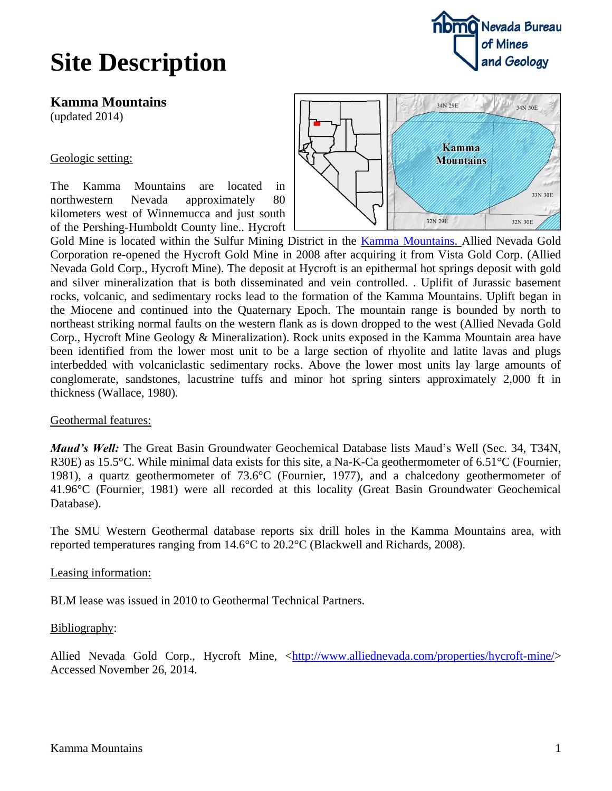## **Site Description**



**Kamma Mountains**

(updated 2014)

Geologic setting:

The Kamma Mountains are located in northwestern Nevada approximately 80 kilometers west of Winnemucca and just south of the Pershing-Humboldt County line.. Hycroft



Gold Mine is located within the Sulfur Mining District in the [Kamma Mountains.](http://en.wikipedia.org/wiki/Kamma_Mountains) Allied Nevada Gold Corporation re-opened the Hycroft Gold Mine in 2008 after acquiring it from Vista Gold Corp. (Allied Nevada Gold Corp., Hycroft Mine). The deposit at Hycroft is an epithermal hot springs deposit with gold and silver mineralization that is both disseminated and vein controlled. . Uplifit of Jurassic basement rocks, volcanic, and sedimentary rocks lead to the formation of the Kamma Mountains. Uplift began in the Miocene and continued into the Quaternary Epoch. The mountain range is bounded by north to northeast striking normal faults on the western flank as is down dropped to the west (Allied Nevada Gold Corp., Hycroft Mine Geology & Mineralization). Rock units exposed in the Kamma Mountain area have been identified from the lower most unit to be a large section of rhyolite and latite lavas and plugs interbedded with volcaniclastic sedimentary rocks. Above the lower most units lay large amounts of conglomerate, sandstones, lacustrine tuffs and minor hot spring sinters approximately 2,000 ft in thickness (Wallace, 1980).

## Geothermal features:

*Maud's Well:* The Great Basin Groundwater Geochemical Database lists Maud's Well (Sec. 34, T34N, R30E) as 15.5°C. While minimal data exists for this site, a Na-K-Ca geothermometer of 6.51°C (Fournier, 1981), a quartz geothermometer of 73.6°C (Fournier, 1977), and a chalcedony geothermometer of 41.96°C (Fournier, 1981) were all recorded at this locality (Great Basin Groundwater Geochemical Database).

The SMU Western Geothermal database reports six drill holes in the Kamma Mountains area, with reported temperatures ranging from 14.6°C to 20.2°C (Blackwell and Richards, 2008).

Leasing information:

BLM lease was issued in 2010 to Geothermal Technical Partners.

Bibliography:

Allied Nevada Gold Corp., Hycroft Mine, [<http://www.alliednevada.com/properties/hycroft-mine/>](http://www.alliednevada.com/properties/hycroft-mine/) Accessed November 26, 2014.